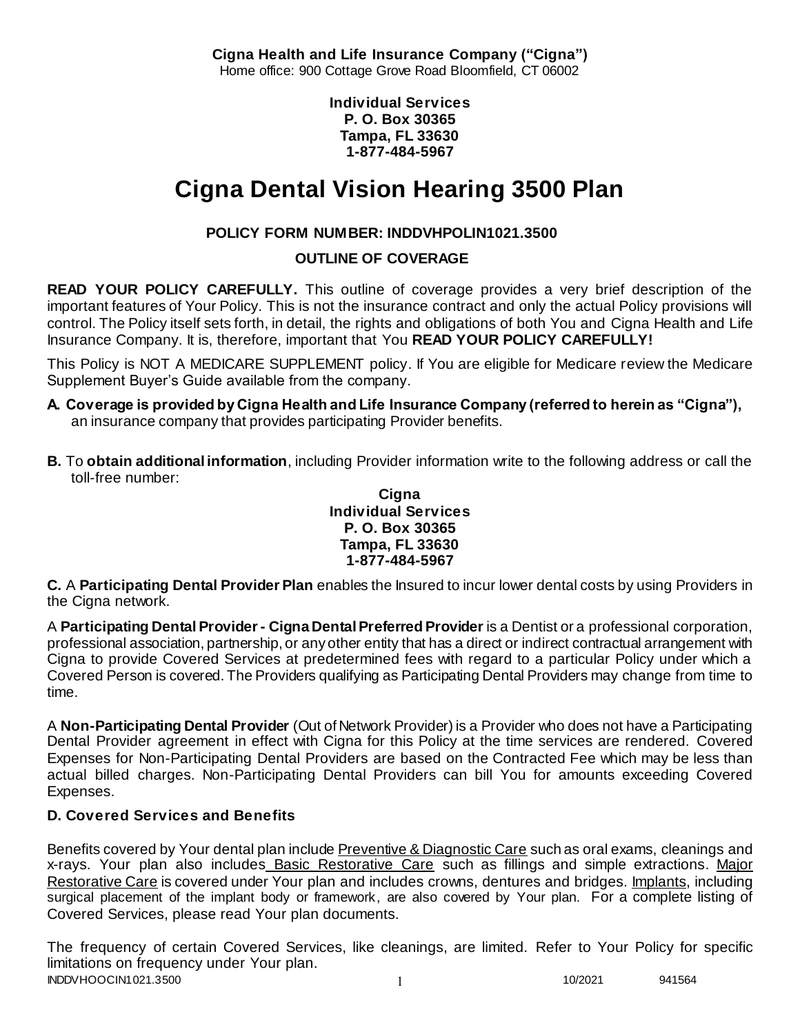**Cigna Health and Life Insurance Company ("Cigna")** Home office: 900 Cottage Grove Road Bloomfield, CT 06002

> **Individual Services P. O. Box 30365 Tampa, FL 33630 1-877-484-5967**

# **Cigna Dental Vision Hearing 3500 Plan**

# **POLICY FORM NUMBER: INDDVHPOLIN1021.3500**

**OUTLINE OF COVERAGE** 

**READ YOUR POLICY CAREFULLY.** This outline of coverage provides a very brief description of the important features of Your Policy. This is not the insurance contract and only the actual Policy provisions will control. The Policy itself sets forth, in detail, the rights and obligations of both You and Cigna Health and Life Insurance Company. It is, therefore, important that You **READ YOUR POLICY CAREFULLY!** 

This Policy is NOT A MEDICARE SUPPLEMENT policy. If You are eligible for Medicare review the Medicare Supplement Buyer's Guide available from the company.

- **A. Coverage is provided by Cigna Health and Life Insurance Company (referred to herein as "Cigna"),**  an insurance company that provides participating Provider benefits.
- **B.** To **obtain additional information**, including Provider information write to the following address or call the toll-free number:

#### **Cigna Individual Services P. O. Box 30365 Tampa, FL 33630 1-877-484-5967**

**C.** A **Participating Dental Provider Plan** enables the Insured to incur lower dental costs by using Providers in the Cigna network.

A **Participating Dental Provider - Cigna Dental Preferred Provider** is a Dentist or a professional corporation, professional association, partnership, or any other entity that has a direct or indirect contractual arrangement with Cigna to provide Covered Services at predetermined fees with regard to a particular Policy under which a Covered Person is covered. The Providers qualifying as Participating Dental Providers may change from time to time.

A **Non-Participating Dental Provider** (Out of Network Provider) is a Provider who does not have a Participating Dental Provider agreement in effect with Cigna for this Policy at the time services are rendered. Covered Expenses for Non-Participating Dental Providers are based on the Contracted Fee which may be less than actual billed charges. Non-Participating Dental Providers can bill You for amounts exceeding Covered Expenses.

# **D. Covered Services and Benefits**

Benefits covered by Your dental plan include Preventive & Diagnostic Care such as oral exams, cleanings and x-rays. Your plan also includes Basic Restorative Care such as fillings and simple extractions. Major Restorative Care is covered under Your plan and includes crowns, dentures and bridges. Implants, including surgical placement of the implant body or framework, are also covered by Your plan. For a complete listing of Covered Services, please read Your plan documents.

INDDVHOOCIN1021.3500 1 10/2021 941564 The frequency of certain Covered Services, like cleanings, are limited. Refer to Your Policy for specific limitations on frequency under Your plan.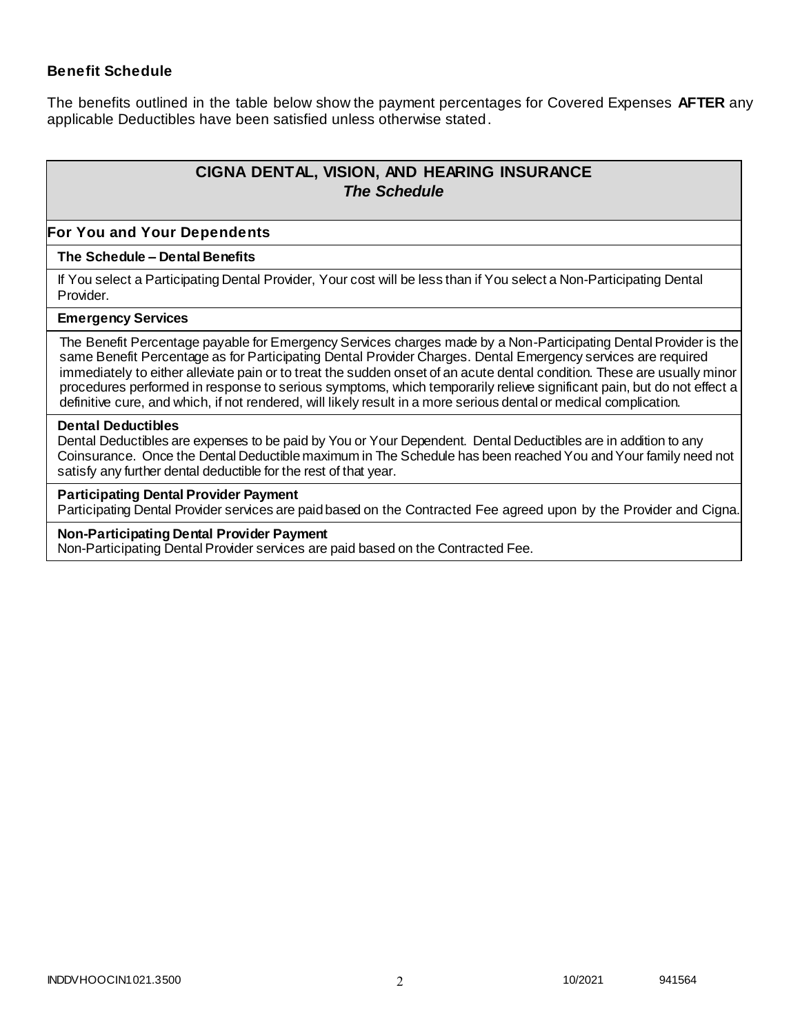### **Benefit Schedule**

The benefits outlined in the table below show the payment percentages for Covered Expenses **AFTER** any applicable Deductibles have been satisfied unless otherwise stated.

# **CIGNA DENTAL, VISION, AND HEARING INSURANCE** *The Schedule*

#### **For You and Your Dependents**

#### **The Schedule – Dental Benefits**

If You select a Participating Dental Provider, Your cost will be less than if You select a Non-Participating Dental Provider.

#### **Emergency Services**

The Benefit Percentage payable for Emergency Services charges made by a Non-Participating Dental Provider is the same Benefit Percentage as for Participating Dental Provider Charges. Dental Emergency services are required immediately to either alleviate pain or to treat the sudden onset of an acute dental condition. These are usually minor procedures performed in response to serious symptoms, which temporarily relieve significant pain, but do not effect a definitive cure, and which, if not rendered, will likely result in a more serious dental or medical complication.

#### **Dental Deductibles**

Dental Deductibles are expenses to be paid by You or Your Dependent. Dental Deductibles are in addition to any Coinsurance. Once the Dental Deductible maximum in The Schedule has been reached You and Your family need not satisfy any further dental deductible for the rest of that year.

#### **Participating Dental Provider Payment**

Participating Dental Provider services are paid based on the Contracted Fee agreed upon by the Provider and Cigna.

#### **Non-Participating Dental Provider Payment**

Non-Participating Dental Provider services are paid based on the Contracted Fee.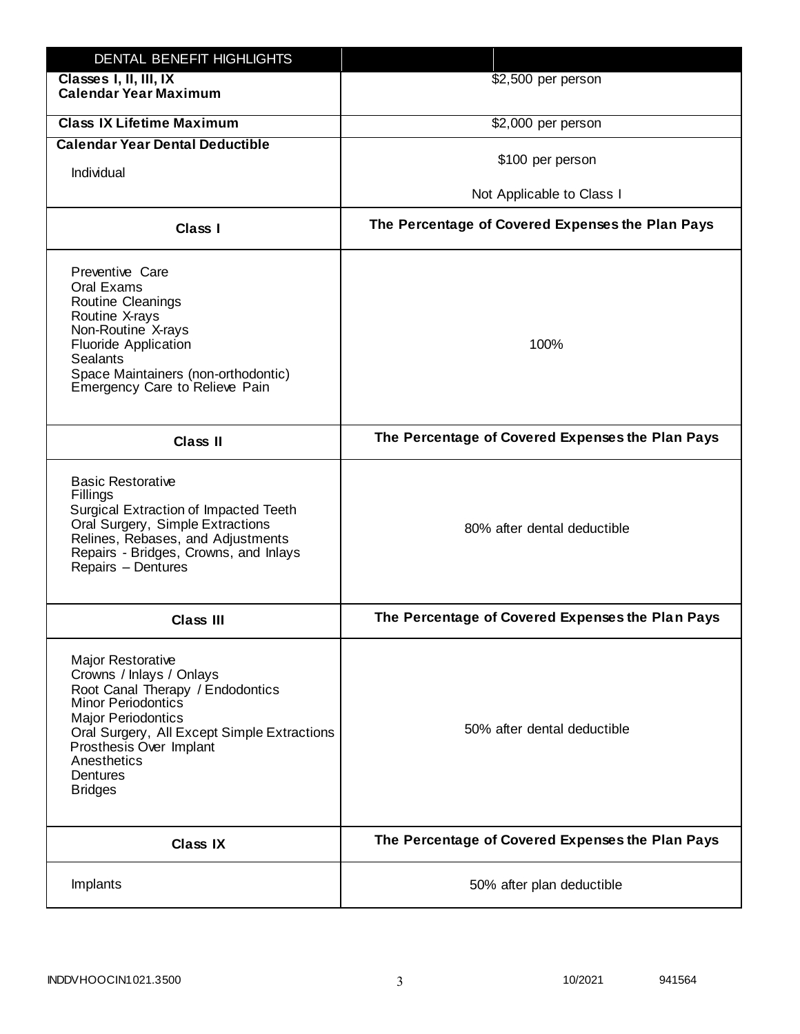| DENTAL BENEFIT HIGHLIGHTS                                                                                                                                                                                                                                                 |                                                  |
|---------------------------------------------------------------------------------------------------------------------------------------------------------------------------------------------------------------------------------------------------------------------------|--------------------------------------------------|
| Classes I, II, III, IX<br><b>Calendar Year Maximum</b>                                                                                                                                                                                                                    | \$2,500 per person                               |
| <b>Class IX Lifetime Maximum</b>                                                                                                                                                                                                                                          | \$2,000 per person                               |
| <b>Calendar Year Dental Deductible</b>                                                                                                                                                                                                                                    |                                                  |
| Individual                                                                                                                                                                                                                                                                | \$100 per person                                 |
|                                                                                                                                                                                                                                                                           | Not Applicable to Class I                        |
| Class I                                                                                                                                                                                                                                                                   | The Percentage of Covered Expenses the Plan Pays |
| Preventive Care<br>Oral Exams<br><b>Routine Cleanings</b><br>Routine X-rays<br>Non-Routine X-rays<br><b>Fluoride Application</b><br><b>Sealants</b><br>Space Maintainers (non-orthodontic)<br>Emergency Care to Relieve Pain                                              | 100%                                             |
| <b>Class II</b>                                                                                                                                                                                                                                                           | The Percentage of Covered Expenses the Plan Pays |
| <b>Basic Restorative</b><br>Fillings<br>Surgical Extraction of Impacted Teeth<br>Oral Surgery, Simple Extractions<br>Relines, Rebases, and Adjustments<br>Repairs - Bridges, Crowns, and Inlays<br>Repairs - Dentures                                                     | 80% after dental deductible                      |
| <b>Class III</b>                                                                                                                                                                                                                                                          | The Percentage of Covered Expenses the Plan Pays |
| <b>Major Restorative</b><br>Crowns / Inlays / Onlays<br>Root Canal Therapy / Endodontics<br><b>Minor Periodontics</b><br><b>Major Periodontics</b><br>Oral Surgery, All Except Simple Extractions<br>Prosthesis Over Implant<br>Anesthetics<br>Dentures<br><b>Bridges</b> | 50% after dental deductible                      |
| <b>Class IX</b>                                                                                                                                                                                                                                                           | The Percentage of Covered Expenses the Plan Pays |
| Implants                                                                                                                                                                                                                                                                  | 50% after plan deductible                        |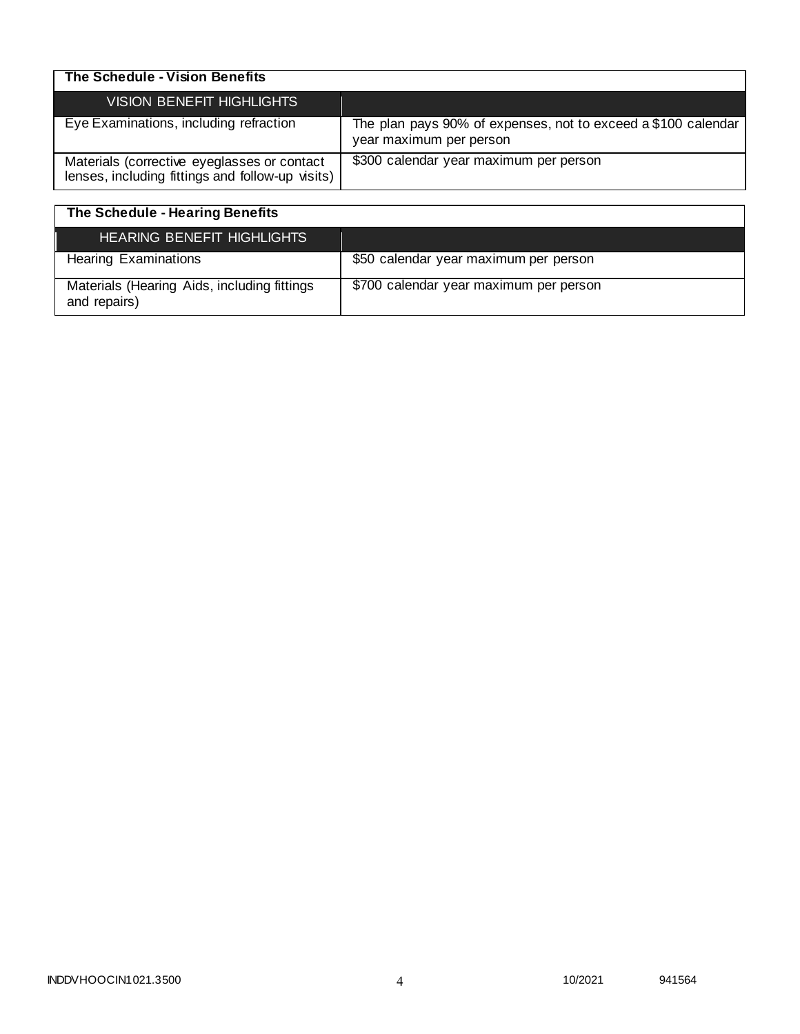| The Schedule - Vision Benefits                                                                  |                                                                                          |
|-------------------------------------------------------------------------------------------------|------------------------------------------------------------------------------------------|
| <b>VISION BENEFIT HIGHLIGHTS</b>                                                                |                                                                                          |
| Eye Examinations, including refraction                                                          | The plan pays 90% of expenses, not to exceed a \$100 calendar<br>year maximum per person |
| Materials (corrective eyeglasses or contact<br>lenses, including fittings and follow-up visits) | \$300 calendar year maximum per person                                                   |

| The Schedule - Hearing Benefits                             |                                        |
|-------------------------------------------------------------|----------------------------------------|
| <b>HEARING BENEFIT HIGHLIGHTS</b>                           |                                        |
| <b>Hearing Examinations</b>                                 | \$50 calendar year maximum per person  |
| Materials (Hearing Aids, including fittings<br>and repairs) | \$700 calendar year maximum per person |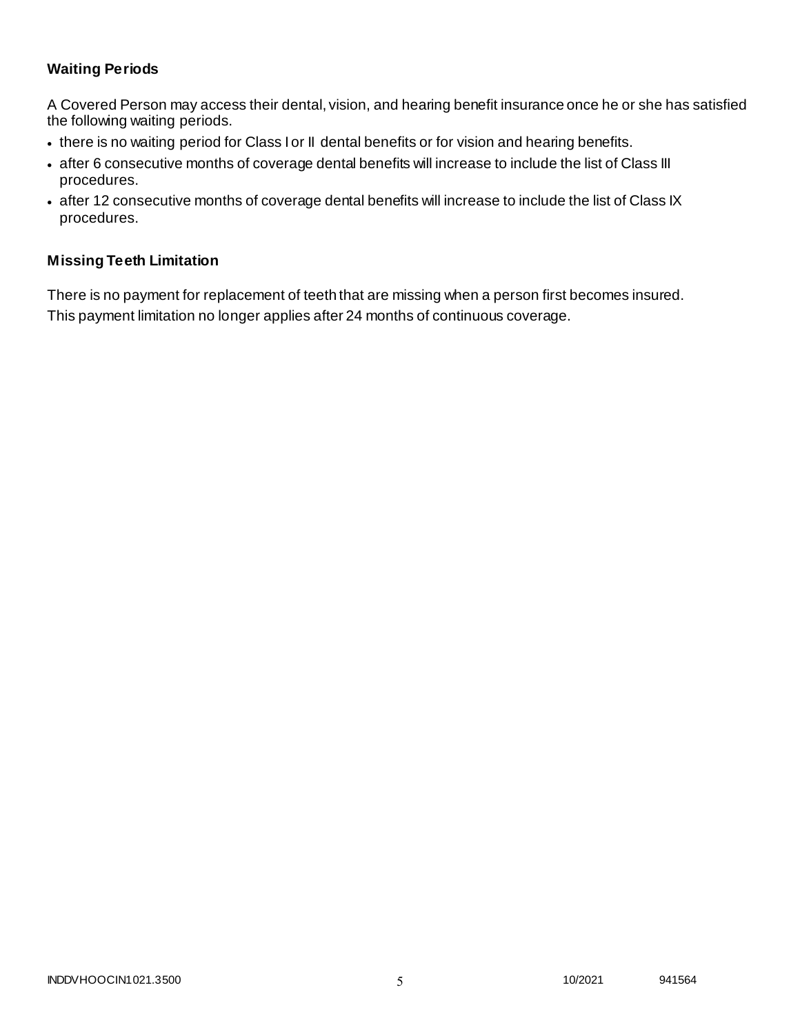# **Waiting Periods**

A Covered Person may access their dental, vision, and hearing benefit insurance once he or she has satisfied the following waiting periods.

- there is no waiting period for Class I or II dental benefits or for vision and hearing benefits.
- after 6 consecutive months of coverage dental benefits will increase to include the list of Class III procedures.
- after 12 consecutive months of coverage dental benefits will increase to include the list of Class IX procedures.

### **Missing Teeth Limitation**

There is no payment for replacement of teeth that are missing when a person first becomes insured. This payment limitation no longer applies after 24 months of continuous coverage.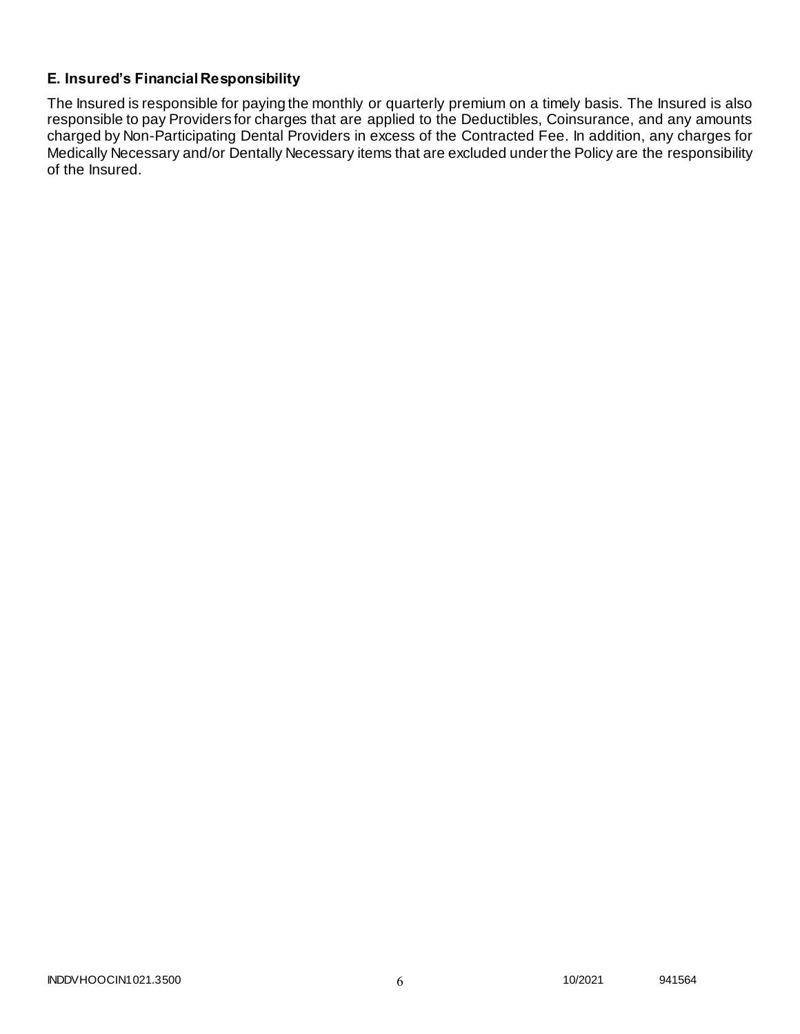# **E. Insured's Financial Responsibility**

The Insured is responsible for paying the monthly or quarterly premium on a timely basis. The Insured is also responsible to pay Providers for charges that are applied to the Deductibles, Coinsurance, and any amounts charged by Non-Participating Dental Providers in excess of the Contracted Fee. In addition, any charges for Medically Necessary and/or Dentally Necessary items that are excluded under the Policy are the responsibility of the Insured.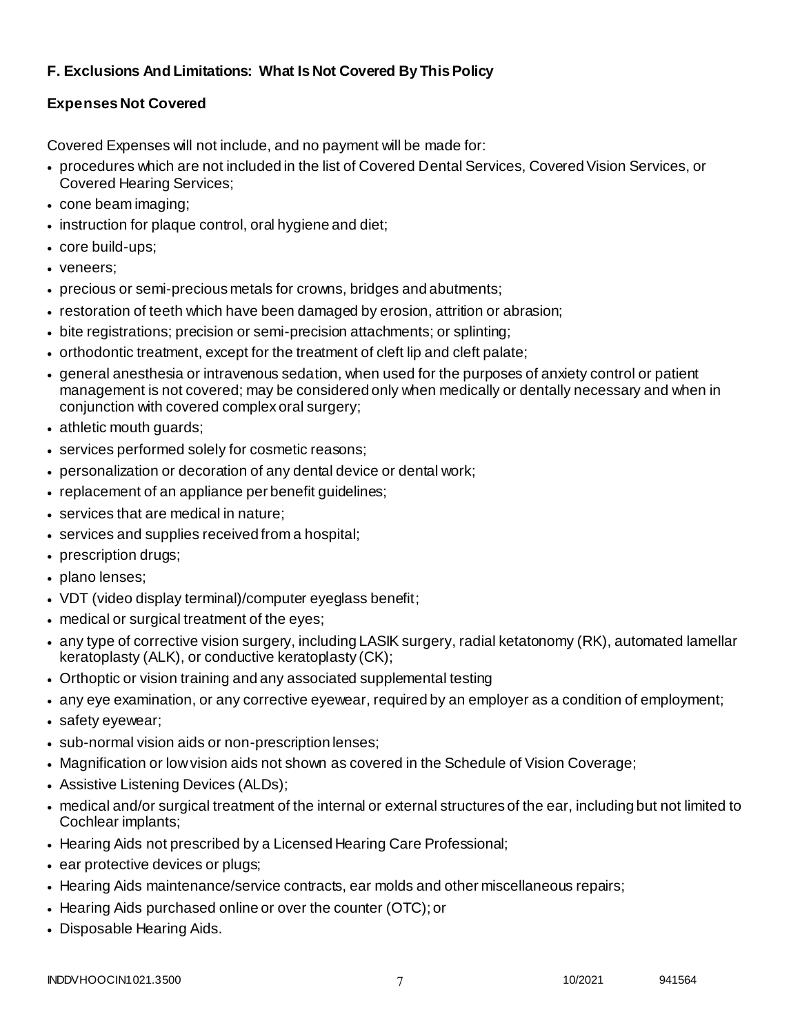# **F. Exclusions And Limitations: What Is Not Covered By This Policy**

# **Expenses Not Covered**

Covered Expenses will not include, and no payment will be made for:

- procedures which are not included in the list of Covered Dental Services, Covered Vision Services, or Covered Hearing Services;
- cone beam imaging;
- instruction for plaque control, oral hygiene and diet;
- core build-ups;
- veneers;
- precious or semi-precious metals for crowns, bridges and abutments;
- restoration of teeth which have been damaged by erosion, attrition or abrasion;
- bite registrations; precision or semi-precision attachments; or splinting;
- orthodontic treatment, except for the treatment of cleft lip and cleft palate;
- general anesthesia or intravenous sedation, when used for the purposes of anxiety control or patient management is not covered; may be considered only when medically or dentally necessary and when in conjunction with covered complex oral surgery;
- athletic mouth guards;
- services performed solely for cosmetic reasons;
- personalization or decoration of any dental device or dental work;
- replacement of an appliance per benefit guidelines;
- services that are medical in nature;
- services and supplies received from a hospital;
- prescription drugs;
- plano lenses;
- VDT (video display terminal)/computer eyeglass benefit;
- medical or surgical treatment of the eyes;
- any type of corrective vision surgery, including LASIK surgery, radial ketatonomy (RK), automated lamellar keratoplasty (ALK), or conductive keratoplasty (CK);
- Orthoptic or vision training and any associated supplemental testing
- any eye examination, or any corrective eyewear, required by an employer as a condition of employment;
- safety eyewear;
- sub-normal vision aids or non-prescription lenses;
- Magnification or low vision aids not shown as covered in the Schedule of Vision Coverage;
- Assistive Listening Devices (ALDs);
- medical and/or surgical treatment of the internal or external structures of the ear, including but not limited to Cochlear implants;
- Hearing Aids not prescribed by a Licensed Hearing Care Professional;
- ear protective devices or plugs;
- Hearing Aids maintenance/service contracts, ear molds and other miscellaneous repairs;
- Hearing Aids purchased online or over the counter (OTC); or
- Disposable Hearing Aids.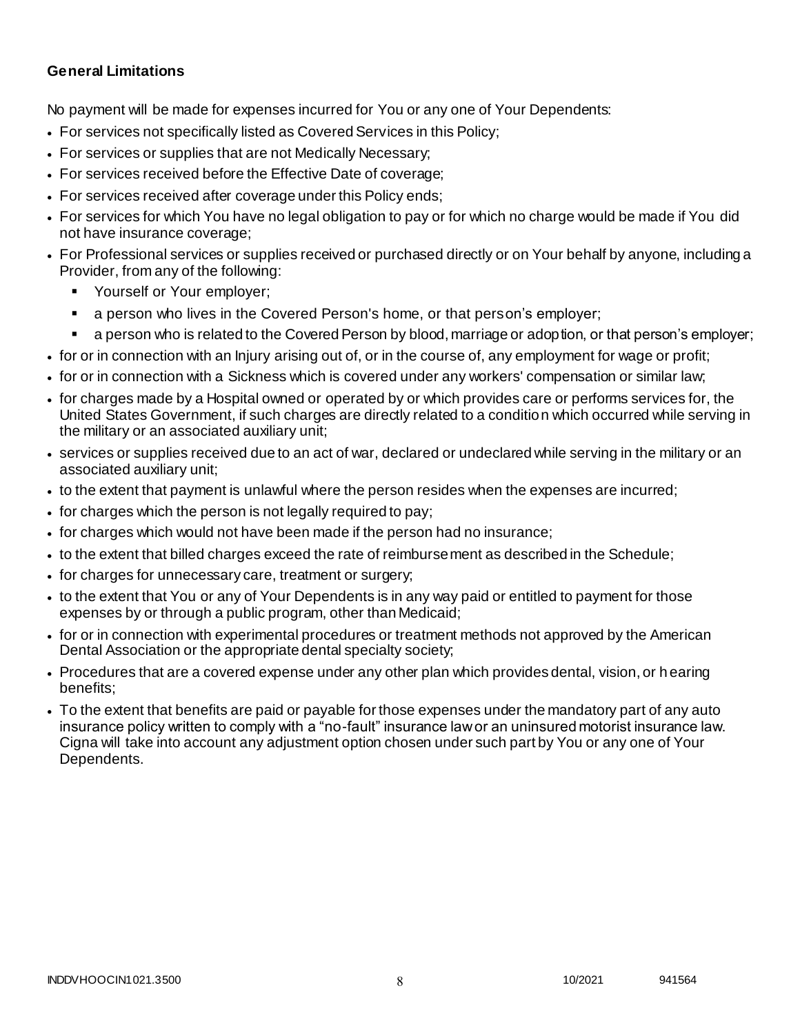### **General Limitations**

No payment will be made for expenses incurred for You or any one of Your Dependents:

- For services not specifically listed as Covered Services in this Policy;
- For services or supplies that are not Medically Necessary;
- For services received before the Effective Date of coverage;
- For services received after coverage under this Policy ends;
- For services for which You have no legal obligation to pay or for which no charge would be made if You did not have insurance coverage;
- For Professional services or supplies received or purchased directly or on Your behalf by anyone, including a Provider, from any of the following:
	- Yourself or Your employer;
	- a person who lives in the Covered Person's home, or that person's employer;
	- a person who is related to the Covered Person by blood, marriage or adoption, or that person's employer;
- for or in connection with an Injury arising out of, or in the course of, any employment for wage or profit;
- for or in connection with a Sickness which is covered under any workers' compensation or similar law;
- for charges made by a Hospital owned or operated by or which provides care or performs services for, the United States Government, if such charges are directly related to a condition which occurred while serving in the military or an associated auxiliary unit;
- services or supplies received due to an act of war, declared or undeclared while serving in the military or an associated auxiliary unit;
- to the extent that payment is unlawful where the person resides when the expenses are incurred;
- for charges which the person is not legally required to pay;
- for charges which would not have been made if the person had no insurance;
- to the extent that billed charges exceed the rate of reimbursement as described in the Schedule;
- for charges for unnecessary care, treatment or surgery;
- to the extent that You or any of Your Dependents is in any way paid or entitled to payment for those expenses by or through a public program, other than Medicaid;
- for or in connection with experimental procedures or treatment methods not approved by the American Dental Association or the appropriate dental specialty society;
- Procedures that are a covered expense under any other plan which provides dental, vision, or h earing benefits;
- To the extent that benefits are paid or payable for those expenses under the mandatory part of any auto insurance policy written to comply with a "no-fault" insurance law or an uninsured motorist insurance law. Cigna will take into account any adjustment option chosen under such part by You or any one of Your Dependents.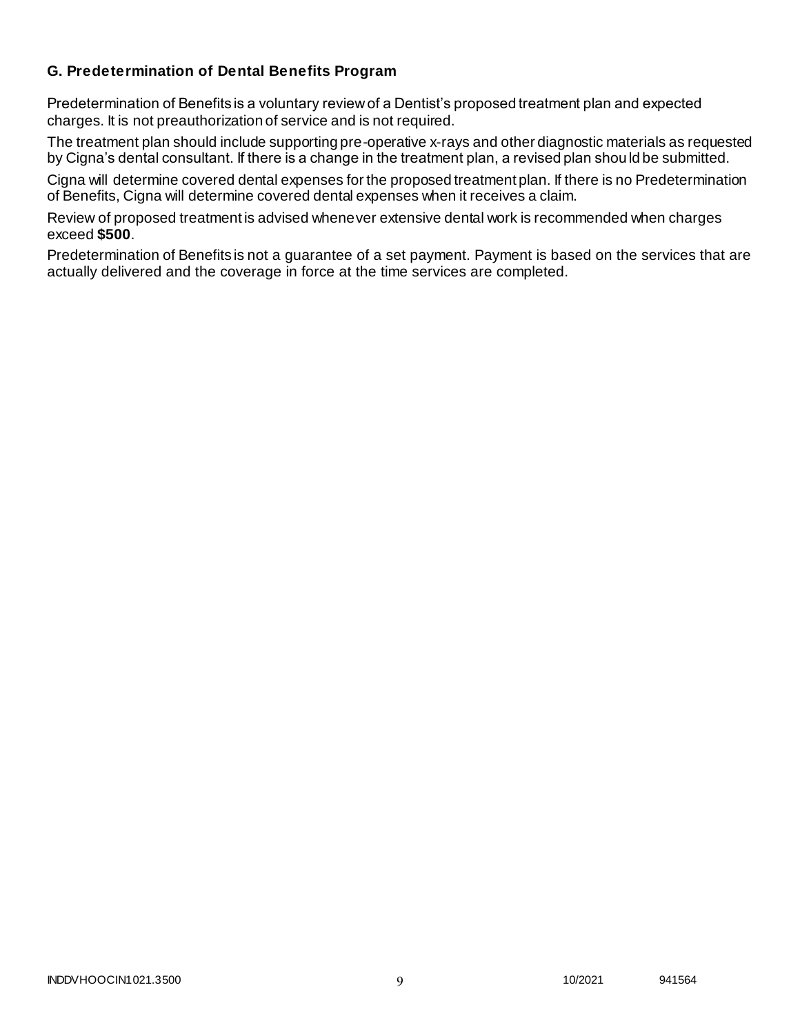# **G. Predetermination of Dental Benefits Program**

Predetermination of Benefits is a voluntary review of a Dentist's proposed treatment plan and expected charges. It is not preauthorization of service and is not required.

The treatment plan should include supporting pre-operative x-rays and other diagnostic materials as requested by Cigna's dental consultant. If there is a change in the treatment plan, a revised plan should be submitted.

Cigna will determine covered dental expenses for the proposed treatment plan. If there is no Predetermination of Benefits, Cigna will determine covered dental expenses when it receives a claim.

Review of proposed treatment is advised whenever extensive dental work is recommended when charges exceed **\$500**.

Predetermination of Benefits is not a guarantee of a set payment. Payment is based on the services that are actually delivered and the coverage in force at the time services are completed.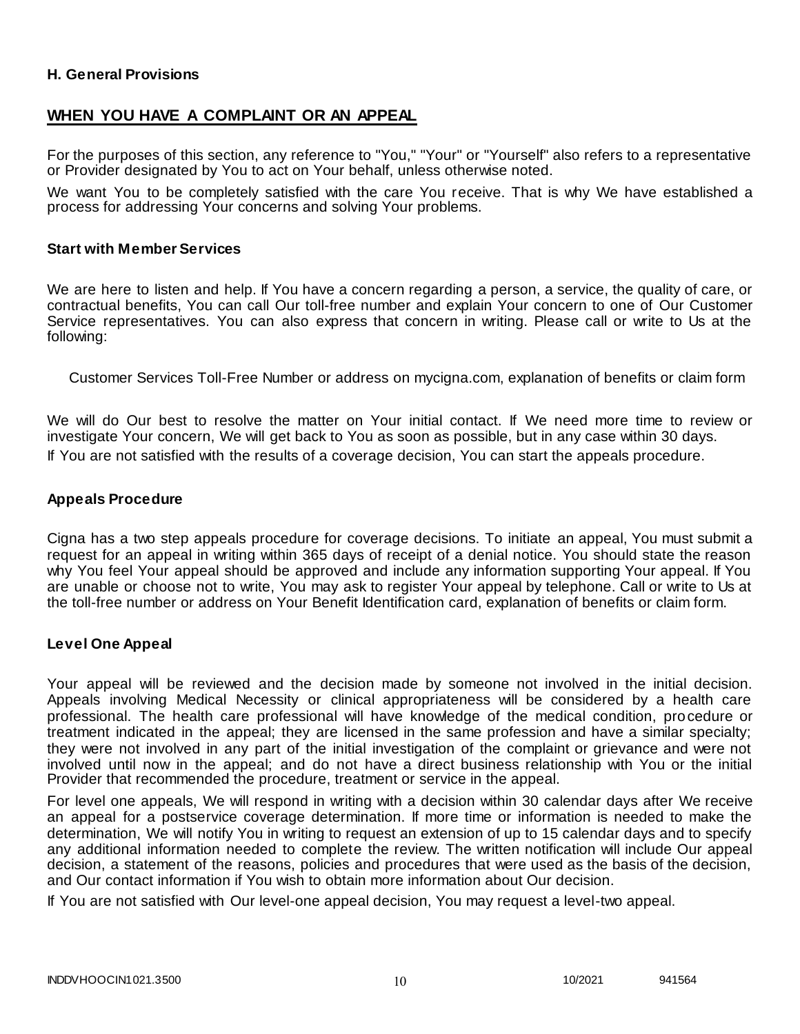### **H. General Provisions**

# **WHEN YOU HAVE A COMPLAINT OR AN APPEAL**

For the purposes of this section, any reference to "You," "Your" or "Yourself" also refers to a representative or Provider designated by You to act on Your behalf, unless otherwise noted.

We want You to be completely satisfied with the care You receive. That is why We have established a process for addressing Your concerns and solving Your problems.

#### **Start with Member Services**

We are here to listen and help. If You have a concern regarding a person, a service, the quality of care, or contractual benefits, You can call Our toll-free number and explain Your concern to one of Our Customer Service representatives. You can also express that concern in writing. Please call or write to Us at the following:

Customer Services Toll-Free Number or address on mycigna.com, explanation of benefits or claim form

We will do Our best to resolve the matter on Your initial contact. If We need more time to review or investigate Your concern, We will get back to You as soon as possible, but in any case within 30 days. If You are not satisfied with the results of a coverage decision, You can start the appeals procedure.

#### **Appeals Procedure**

Cigna has a two step appeals procedure for coverage decisions. To initiate an appeal, You must submit a request for an appeal in writing within 365 days of receipt of a denial notice. You should state the reason why You feel Your appeal should be approved and include any information supporting Your appeal. If You are unable or choose not to write, You may ask to register Your appeal by telephone. Call or write to Us at the toll-free number or address on Your Benefit Identification card, explanation of benefits or claim form.

#### **Level One Appeal**

Your appeal will be reviewed and the decision made by someone not involved in the initial decision. Appeals involving Medical Necessity or clinical appropriateness will be considered by a health care professional. The health care professional will have knowledge of the medical condition, procedure or treatment indicated in the appeal; they are licensed in the same profession and have a similar specialty; they were not involved in any part of the initial investigation of the complaint or grievance and were not involved until now in the appeal; and do not have a direct business relationship with You or the initial Provider that recommended the procedure, treatment or service in the appeal.

For level one appeals, We will respond in writing with a decision within 30 calendar days after We receive an appeal for a postservice coverage determination. If more time or information is needed to make the determination, We will notify You in writing to request an extension of up to 15 calendar days and to specify any additional information needed to complete the review. The written notification will include Our appeal decision, a statement of the reasons, policies and procedures that were used as the basis of the decision, and Our contact information if You wish to obtain more information about Our decision.

If You are not satisfied with Our level-one appeal decision, You may request a level-two appeal.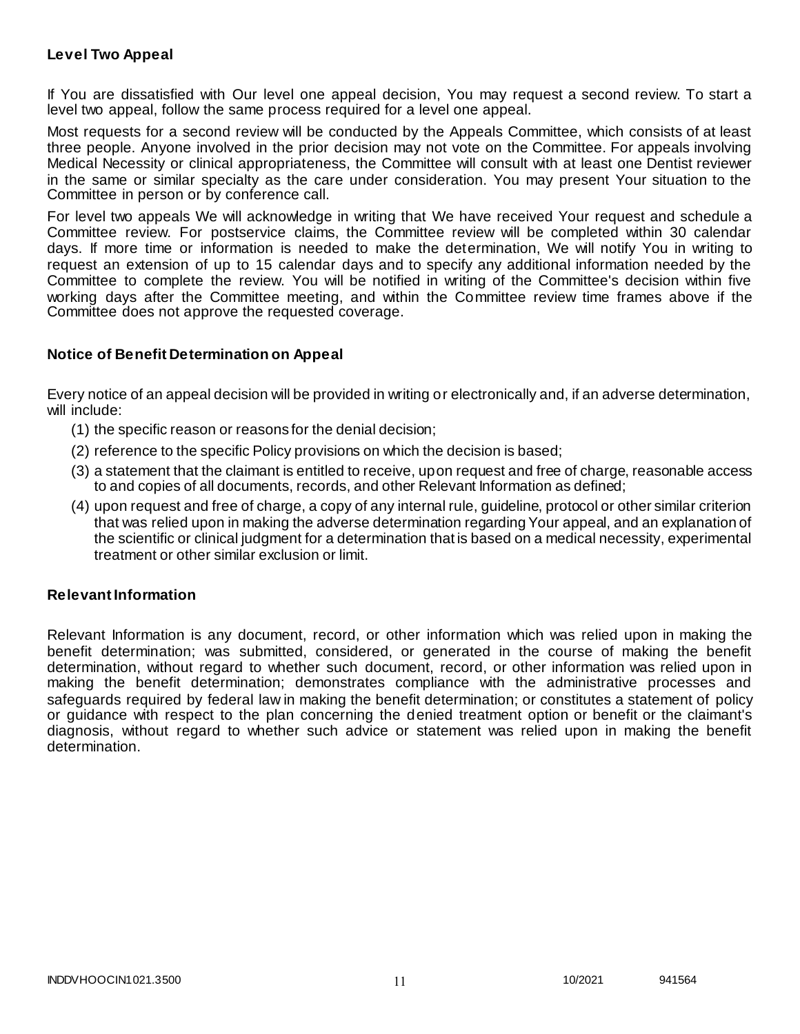### **Level Two Appeal**

If You are dissatisfied with Our level one appeal decision, You may request a second review. To start a level two appeal, follow the same process required for a level one appeal.

Most requests for a second review will be conducted by the Appeals Committee, which consists of at least three people. Anyone involved in the prior decision may not vote on the Committee. For appeals involving Medical Necessity or clinical appropriateness, the Committee will consult with at least one Dentist reviewer in the same or similar specialty as the care under consideration. You may present Your situation to the Committee in person or by conference call.

For level two appeals We will acknowledge in writing that We have received Your request and schedule a Committee review. For postservice claims, the Committee review will be completed within 30 calendar days. If more time or information is needed to make the determination, We will notify You in writing to request an extension of up to 15 calendar days and to specify any additional information needed by the Committee to complete the review. You will be notified in writing of the Committee's decision within five working days after the Committee meeting, and within the Committee review time frames above if the Committee does not approve the requested coverage.

### **Notice of Benefit Determination on Appeal**

Every notice of an appeal decision will be provided in writing or electronically and, if an adverse determination, will include:

- (1) the specific reason or reasons for the denial decision;
- (2) reference to the specific Policy provisions on which the decision is based;
- (3) a statement that the claimant is entitled to receive, upon request and free of charge, reasonable access to and copies of all documents, records, and other Relevant Information as defined;
- (4) upon request and free of charge, a copy of any internal rule, guideline, protocol or other similar criterion that was relied upon in making the adverse determination regarding Your appeal, and an explanation of the scientific or clinical judgment for a determination that is based on a medical necessity, experimental treatment or other similar exclusion or limit.

### **Relevant Information**

Relevant Information is any document, record, or other information which was relied upon in making the benefit determination; was submitted, considered, or generated in the course of making the benefit determination, without regard to whether such document, record, or other information was relied upon in making the benefit determination; demonstrates compliance with the administrative processes and safeguards required by federal law in making the benefit determination; or constitutes a statement of policy or guidance with respect to the plan concerning the denied treatment option or benefit or the claimant's diagnosis, without regard to whether such advice or statement was relied upon in making the benefit determination.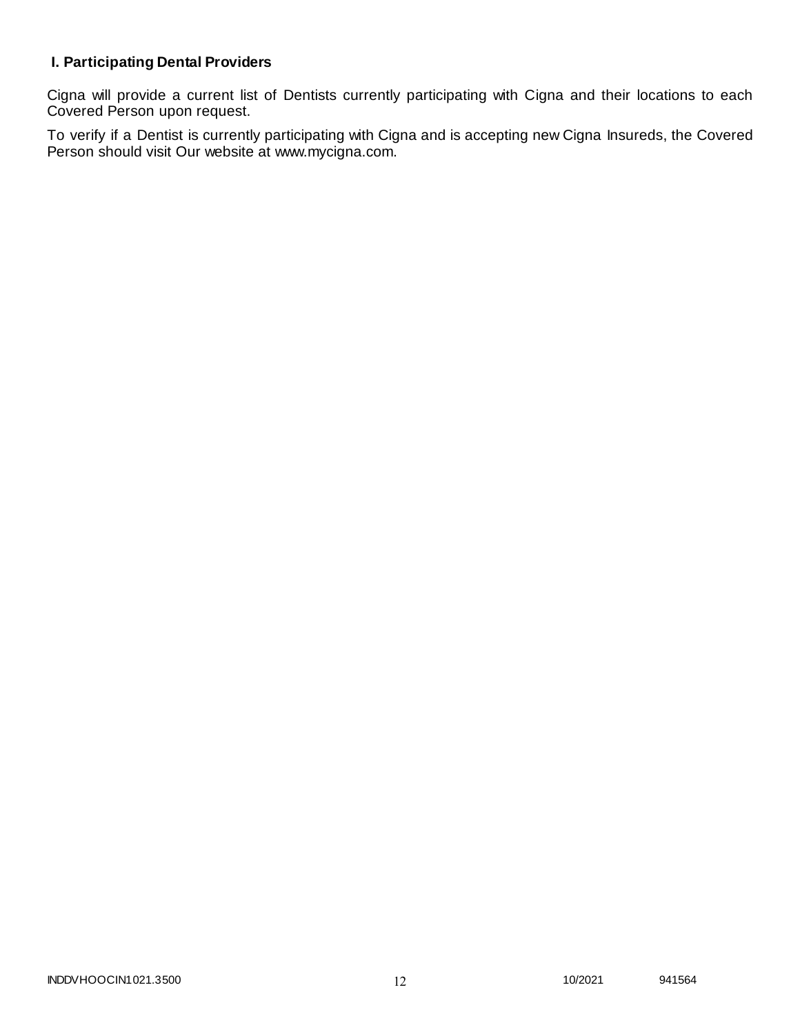# **I. Participating Dental Providers**

Cigna will provide a current list of Dentists currently participating with Cigna and their locations to each Covered Person upon request.

To verify if a Dentist is currently participating with Cigna and is accepting new Cigna Insureds, the Covered Person should visit Our website at www.mycigna.com.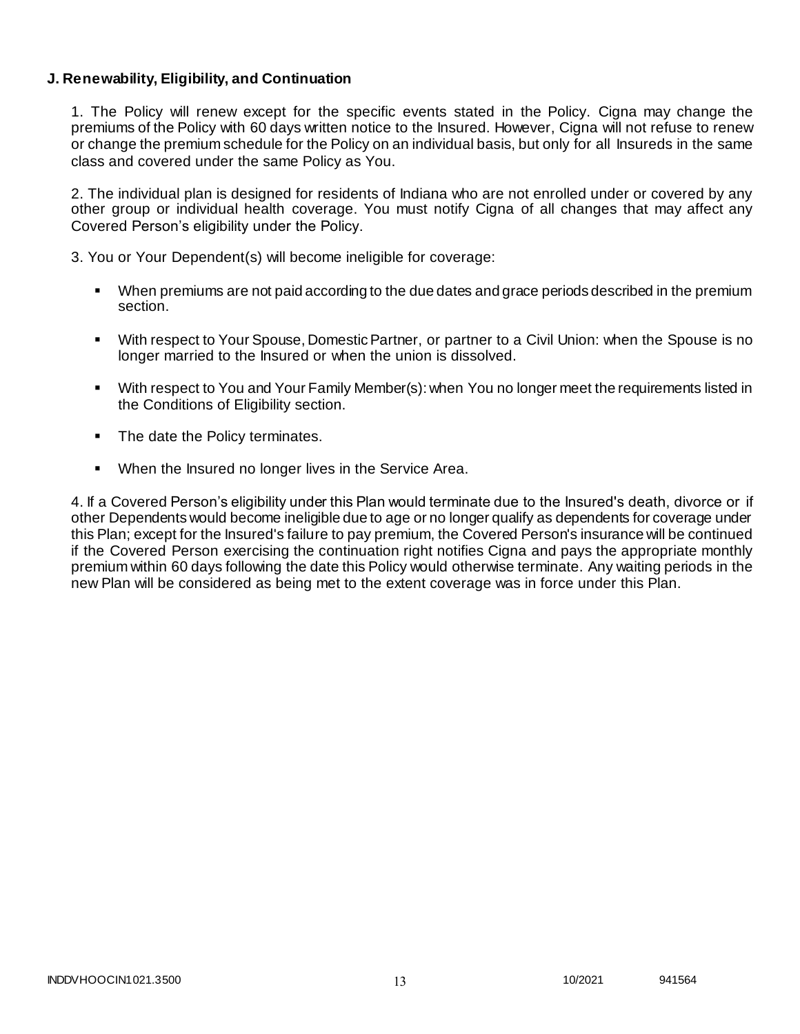### **J. Renewability, Eligibility, and Continuation**

1. The Policy will renew except for the specific events stated in the Policy. Cigna may change the premiums of the Policy with 60 days written notice to the Insured. However, Cigna will not refuse to renew or change the premium schedule for the Policy on an individual basis, but only for all Insureds in the same class and covered under the same Policy as You.

2. The individual plan is designed for residents of Indiana who are not enrolled under or covered by any other group or individual health coverage. You must notify Cigna of all changes that may affect any Covered Person's eligibility under the Policy.

3. You or Your Dependent(s) will become ineligible for coverage:

- When premiums are not paid according to the due dates and grace periods described in the premium section.
- With respect to Your Spouse, Domestic Partner, or partner to a Civil Union: when the Spouse is no longer married to the Insured or when the union is dissolved.
- With respect to You and Your Family Member(s): when You no longer meet the requirements listed in the Conditions of Eligibility section.
- The date the Policy terminates.
- When the Insured no longer lives in the Service Area.

4. If a Covered Person's eligibility under this Plan would terminate due to the Insured's death, divorce or if other Dependents would become ineligible due to age or no longer qualify as dependents for coverage under this Plan; except for the Insured's failure to pay premium, the Covered Person's insurance will be continued if the Covered Person exercising the continuation right notifies Cigna and pays the appropriate monthly premium within 60 days following the date this Policy would otherwise terminate. Any waiting periods in the new Plan will be considered as being met to the extent coverage was in force under this Plan.